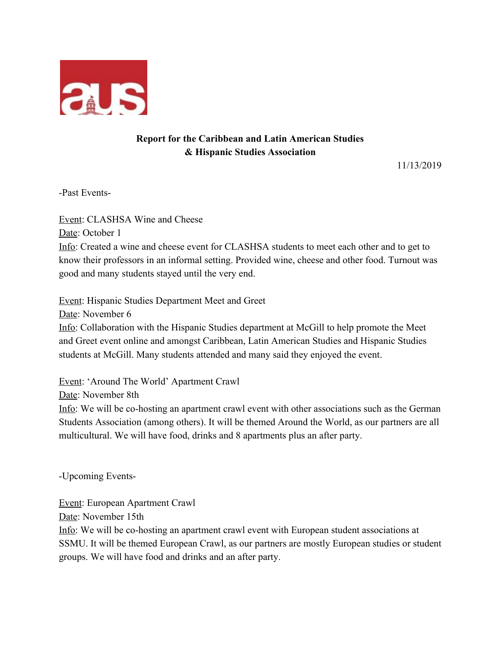

## **Report for the Caribbean and Latin American Studies & Hispanic Studies Association**

11/13/2019

-Past Events-

Event: CLASHSA Wine and Cheese Date: October 1 Info: Created a wine and cheese event for CLASHSA students to meet each other and to get to know their professors in an informal setting. Provided wine, cheese and other food. Turnout was good and many students stayed until the very end.

Event: Hispanic Studies Department Meet and Greet

Date: November 6

Info: Collaboration with the Hispanic Studies department at McGill to help promote the Meet and Greet event online and amongst Caribbean, Latin American Studies and Hispanic Studies students at McGill. Many students attended and many said they enjoyed the event.

Event: 'Around The World' Apartment Crawl

Date: November 8th

Info: We will be co-hosting an apartment crawl event with other associations such as the German Students Association (among others). It will be themed Around the World, as our partners are all multicultural. We will have food, drinks and 8 apartments plus an after party.

-Upcoming Events-

Event: European Apartment Crawl

Date: November 15th

Info: We will be co-hosting an apartment crawl event with European student associations at SSMU. It will be themed European Crawl, as our partners are mostly European studies or student groups. We will have food and drinks and an after party.